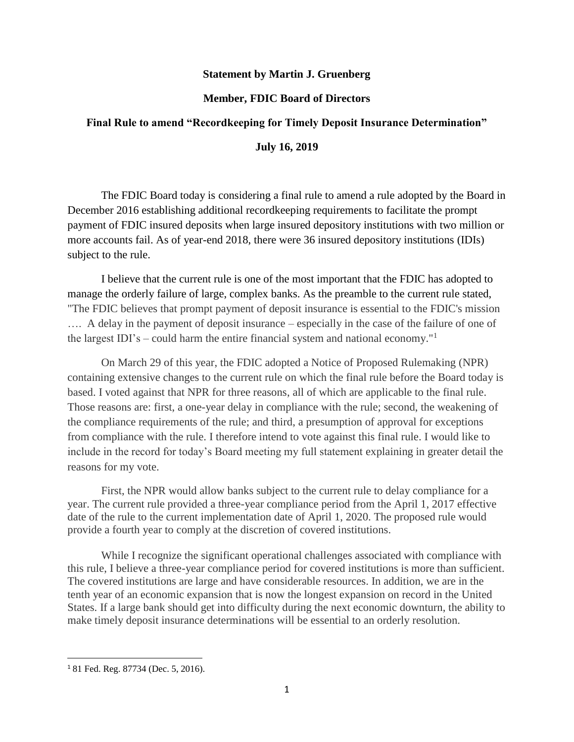## **Statement by Martin J. Gruenberg**

## **Member, FDIC Board of Directors**

## **Final Rule to amend "Recordkeeping for Timely Deposit Insurance Determination"**

## **July 16, 2019**

The FDIC Board today is considering a final rule to amend a rule adopted by the Board in December 2016 establishing additional recordkeeping requirements to facilitate the prompt payment of FDIC insured deposits when large insured depository institutions with two million or more accounts fail. As of year-end 2018, there were 36 insured depository institutions (IDIs) subject to the rule.

I believe that the current rule is one of the most important that the FDIC has adopted to manage the orderly failure of large, complex banks. As the preamble to the current rule stated, "The FDIC believes that prompt payment of deposit insurance is essential to the FDIC's mission …. A delay in the payment of deposit insurance – especially in the case of the failure of one of the largest IDI's – could harm the entire financial system and national economy."<sup>1</sup>

On March 29 of this year, the FDIC adopted a Notice of Proposed Rulemaking (NPR) containing extensive changes to the current rule on which the final rule before the Board today is based. I voted against that NPR for three reasons, all of which are applicable to the final rule. Those reasons are: first, a one-year delay in compliance with the rule; second, the weakening of the compliance requirements of the rule; and third, a presumption of approval for exceptions from compliance with the rule. I therefore intend to vote against this final rule. I would like to include in the record for today's Board meeting my full statement explaining in greater detail the reasons for my vote.

First, the NPR would allow banks subject to the current rule to delay compliance for a year. The current rule provided a three-year compliance period from the April 1, 2017 effective date of the rule to the current implementation date of April 1, 2020. The proposed rule would provide a fourth year to comply at the discretion of covered institutions.

While I recognize the significant operational challenges associated with compliance with this rule, I believe a three-year compliance period for covered institutions is more than sufficient. The covered institutions are large and have considerable resources. In addition, we are in the tenth year of an economic expansion that is now the longest expansion on record in the United States. If a large bank should get into difficulty during the next economic downturn, the ability to make timely deposit insurance determinations will be essential to an orderly resolution.

 $\overline{\phantom{a}}$ 

<sup>1</sup> 81 Fed. Reg. 87734 (Dec. 5, 2016).